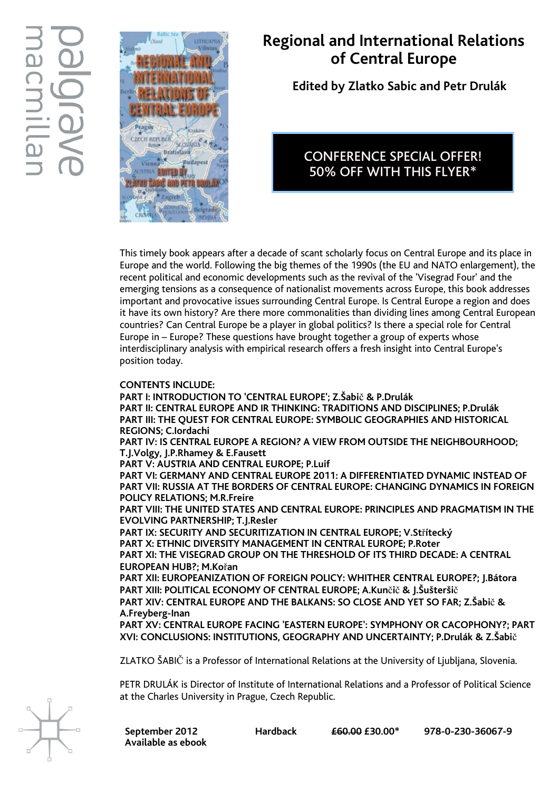

## Regional and International Relations of Central Europe

Edited by Zlatko Sabic and Petr Drulák

### CONFERENCE SPECIAL OFFER! 50% OFF WITH THIS FLYER\*

This timely book appears after a decade of scant scholarly focus on Central Europe and its place in Europe and the world. Following the big themes of the 1990s (the EU and NATO enlargement), the recent political and economic developments such as the revival of the 'Visegrad Four' and the emerging tensions as a consequence of nationalist movements across Europe, this book addresses important and provocative issues surrounding Central Europe. Is Central Europe a region and does it have its own history? Are there more commonalities than dividing lines among Central European countries? Can Central Europe be a player in global politics? Is there a special role for Central Europe in – Europe? These questions have brought together a group of experts whose interdisciplinary analysis with empirical research offers a fresh insight into Central Europe's position today.

#### CONTENTS INCLUDE:

PART I: INTRODUCTION TO 'CENTRAL EUROPE'; Z.Šabič & P.Drulák PART II: CENTRAL EUROPE AND IR THINKING: TRADITIONS AND DISCIPLINES; P.Drulák PART III: THE QUEST FOR CENTRAL EUROPE: SYMBOLIC GEOGRAPHIES AND HISTORICAL REGIONS; C.Iordachi PART IV: IS CENTRAL EUROPE A REGION? A VIEW FROM OUTSIDE THE NEIGHBOURHOOD; T.J.Volgy, J.P.Rhamey & E.Fausett PART V: AUSTRIA AND CENTRAL EUROPE; P.Luif PART VI: GERMANY AND CENTRAL EUROPE 2011: A DIFFERENTIATED DYNAMIC INSTEAD OF PART VII: RUSSIA AT THE BORDERS OF CENTRAL EUROPE: CHANGING DYNAMICS IN FOREIGN POLICY RELATIONS; M.R.Freire PART VIII: THE UNITED STATES AND CENTRAL EUROPE: PRINCIPLES AND PRAGMATISM IN THE EVOLVING PARTNERSHIP; T.J.Resler PART IX: SECURITY AND SECURITIZATION IN CENTRAL EUROPE; V.Střítecký PART X: ETHNIC DIVERSITY MANAGEMENT IN CENTRAL EUROPE; P.Roter PART XI: THE VISEGRAD GROUP ON THE THRESHOLD OF ITS THIRD DECADE: A CENTRAL EUROPEAN HUB?; M.Kořan PART XII: EUROPEANIZATION OF FOREIGN POLICY: WHITHER CENTRAL EUROPE?; J.Bátora PART XIII: POLITICAL ECONOMY OF CENTRAL EUROPE; A.Kunčič & J.Šušteršič PART XIV: CENTRAL EUROPE AND THE BALKANS: SO CLOSE AND YET SO FAR; Z.Šabič & A.Freyberg-Inan PART XV: CENTRAL EUROPE FACING 'EASTERN EUROPE': SYMPHONY OR CACOPHONY?; PART XVI: CONCLUSIONS: INSTITUTIONS, GEOGRAPHY AND UNCERTAINTY; P.Drulák & Z.Šabič

ZLATKO ŠABIČ is a Professor of International Relations at the University of Ljubljana, Slovenia.

PETR DRULÁK is Director of Institute of International Relations and a Professor of Political Science at the Charles University in Prague, Czech Republic.

Available as ebook